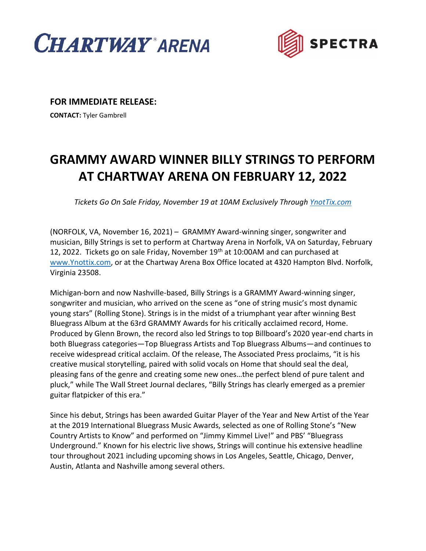



**FOR IMMEDIATE RELEASE:**

**CONTACT:** Tyler Gambrell

## **GRAMMY AWARD WINNER BILLY STRINGS TO PERFORM AT CHARTWAY ARENA ON FEBRUARY 12, 2022**

*Tickets Go On Sale Friday, November 19 at 10AM Exclusively Through [YnotTix.com](http://www.ynotix.com/)*

(NORFOLK, VA, November 16, 2021) – GRAMMY Award-winning singer, songwriter and musician, Billy Strings is set to perform at Chartway Arena in Norfolk, VA on Saturday, February 12, 2022. Tickets go on sale Friday, November 19<sup>th</sup> at 10:00AM and can purchased at [www.Ynottix.com,](http://www.ynottix.com/) or at the Chartway Arena Box Office located at 4320 Hampton Blvd. Norfolk, Virginia 23508.

Michigan-born and now Nashville-based, Billy Strings is a GRAMMY Award-winning singer, songwriter and musician, who arrived on the scene as "one of string music's most dynamic young stars" (Rolling Stone). Strings is in the midst of a triumphant year after winning Best Bluegrass Album at the 63rd GRAMMY Awards for his critically acclaimed record, Home. Produced by Glenn Brown, the record also led Strings to top Billboard's 2020 year-end charts in both Bluegrass categories—Top Bluegrass Artists and Top Bluegrass Albums—and continues to receive widespread critical acclaim. Of the release, The Associated Press proclaims, "it is his creative musical storytelling, paired with solid vocals on Home that should seal the deal, pleasing fans of the genre and creating some new ones…the perfect blend of pure talent and pluck," while The Wall Street Journal declares, "Billy Strings has clearly emerged as a premier guitar flatpicker of this era."

Since his debut, Strings has been awarded Guitar Player of the Year and New Artist of the Year at the 2019 International Bluegrass Music Awards, selected as one of Rolling Stone's "New Country Artists to Know" and performed on "Jimmy Kimmel Live!" and PBS' "Bluegrass Underground." Known for his electric live shows, Strings will continue his extensive headline tour throughout 2021 including upcoming shows in Los Angeles, Seattle, Chicago, Denver, Austin, Atlanta and Nashville among several others.